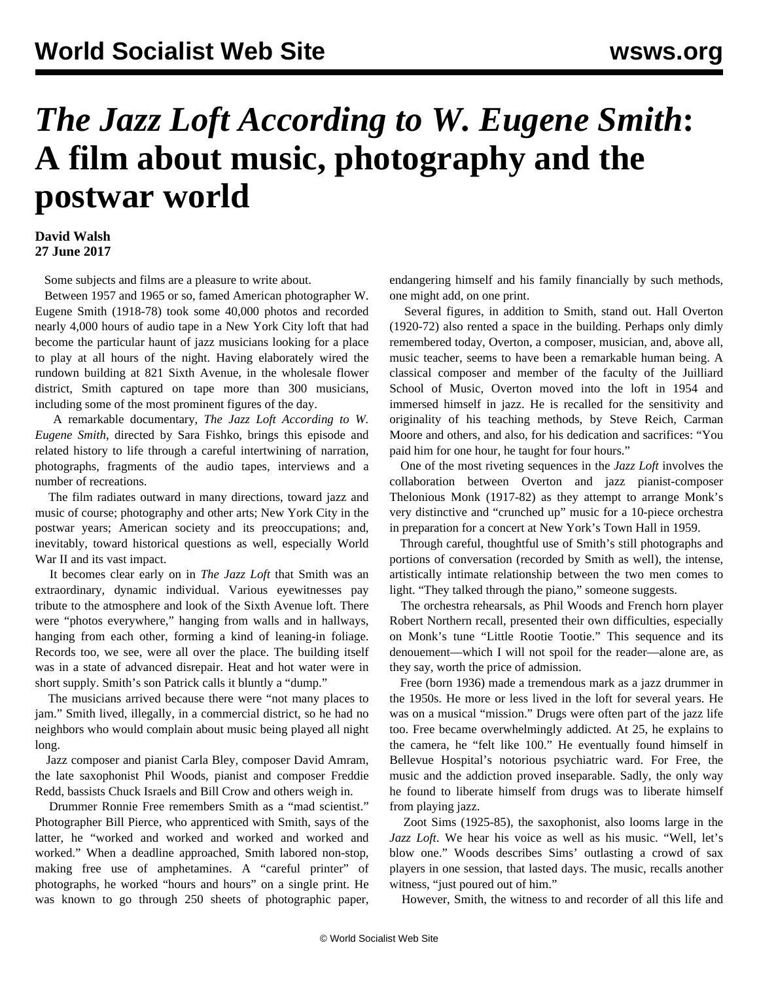## *The Jazz Loft According to W. Eugene Smith***: A film about music, photography and the postwar world**

## **David Walsh 27 June 2017**

Some subjects and films are a pleasure to write about.

 Between 1957 and 1965 or so, famed American photographer W. Eugene Smith (1918-78) took some 40,000 photos and recorded nearly 4,000 hours of audio tape in a New York City loft that had become the particular haunt of jazz musicians looking for a place to play at all hours of the night. Having elaborately wired the rundown building at 821 Sixth Avenue, in the wholesale flower district, Smith captured on tape more than 300 musicians, including some of the most prominent figures of the day.

 A remarkable documentary, *The Jazz Loft According to W. Eugene Smith*, directed by Sara Fishko, brings this episode and related history to life through a careful intertwining of narration, photographs, fragments of the audio tapes, interviews and a number of recreations.

 The film radiates outward in many directions, toward jazz and music of course; photography and other arts; New York City in the postwar years; American society and its preoccupations; and, inevitably, toward historical questions as well, especially World War II and its vast impact.

 It becomes clear early on in *The Jazz Loft* that Smith was an extraordinary, dynamic individual. Various eyewitnesses pay tribute to the atmosphere and look of the Sixth Avenue loft. There were "photos everywhere," hanging from walls and in hallways, hanging from each other, forming a kind of leaning-in foliage. Records too, we see, were all over the place. The building itself was in a state of advanced disrepair. Heat and hot water were in short supply. Smith's son Patrick calls it bluntly a "dump."

 The musicians arrived because there were "not many places to jam." Smith lived, illegally, in a commercial district, so he had no neighbors who would complain about music being played all night long.

 Jazz composer and pianist Carla Bley, composer David Amram, the late saxophonist Phil Woods, pianist and composer Freddie Redd, bassists Chuck Israels and Bill Crow and others weigh in.

 Drummer Ronnie Free remembers Smith as a "mad scientist." Photographer Bill Pierce, who apprenticed with Smith, says of the latter, he "worked and worked and worked and worked and worked." When a deadline approached, Smith labored non-stop, making free use of amphetamines. A "careful printer" of photographs, he worked "hours and hours" on a single print. He was known to go through 250 sheets of photographic paper,

endangering himself and his family financially by such methods, one might add, on one print.

 Several figures, in addition to Smith, stand out. Hall Overton (1920-72) also rented a space in the building. Perhaps only dimly remembered today, Overton, a composer, musician, and, above all, music teacher, seems to have been a remarkable human being. A classical composer and member of the faculty of the Juilliard School of Music, Overton moved into the loft in 1954 and immersed himself in jazz. He is recalled for the sensitivity and originality of his teaching methods, by Steve Reich, Carman Moore and others, and also, for his dedication and sacrifices: "You paid him for one hour, he taught for four hours."

 One of the most riveting sequences in the *Jazz Loft* involves the collaboration between Overton and jazz pianist-composer Thelonious Monk (1917-82) as they attempt to arrange Monk's very distinctive and "crunched up" music for a 10-piece orchestra in preparation for a concert at New York's Town Hall in 1959.

 Through careful, thoughtful use of Smith's still photographs and portions of conversation (recorded by Smith as well), the intense, artistically intimate relationship between the two men comes to light. "They talked through the piano," someone suggests.

 The orchestra rehearsals, as Phil Woods and French horn player Robert Northern recall, presented their own difficulties, especially on Monk's tune "Little Rootie Tootie." This sequence and its denouement—which I will not spoil for the reader—alone are, as they say, worth the price of admission.

 Free (born 1936) made a tremendous mark as a jazz drummer in the 1950s. He more or less lived in the loft for several years. He was on a musical "mission." Drugs were often part of the jazz life too. Free became overwhelmingly addicted. At 25, he explains to the camera, he "felt like 100." He eventually found himself in Bellevue Hospital's notorious psychiatric ward. For Free, the music and the addiction proved inseparable. Sadly, the only way he found to liberate himself from drugs was to liberate himself from playing jazz.

 Zoot Sims (1925-85), the saxophonist, also looms large in the *Jazz Loft*. We hear his voice as well as his music. "Well, let's blow one." Woods describes Sims' outlasting a crowd of sax players in one session, that lasted days. The music, recalls another witness, "just poured out of him."

However, Smith, the witness to and recorder of all this life and